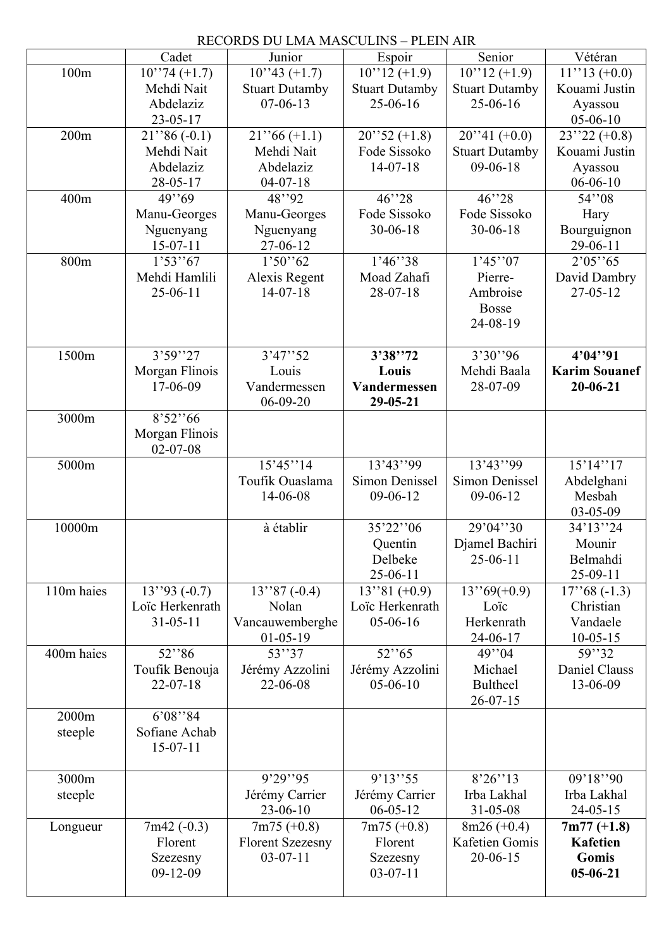|            | RECORDS DU LMA MASCULINS - PLEIN AIR |                            |                          |                       |                      |  |  |  |
|------------|--------------------------------------|----------------------------|--------------------------|-----------------------|----------------------|--|--|--|
|            | Cadet                                | Junior                     | Espoir                   | Senior                | Vétéran              |  |  |  |
| 100m       | $10''74 (+1.7)$                      | $10^{3}$ 43 (+1.7)         | $10''12 (+1.9)$          | $10''12 (+1.9)$       | $11''13 (+0.0)$      |  |  |  |
|            | Mehdi Nait                           | <b>Stuart Dutamby</b>      | <b>Stuart Dutamby</b>    | <b>Stuart Dutamby</b> | Kouami Justin        |  |  |  |
|            | Abdelaziz                            | $07-06-13$                 | 25-06-16                 | 25-06-16              | Ayassou              |  |  |  |
|            | $23 - 05 - 17$                       |                            |                          |                       | $05-06-10$           |  |  |  |
| 200m       | $21$ ''86 (-0.1)                     | $21$ ''66 (+1.1)           | $20$ ''52 (+1.8)         | $20''1 (+0.0)$        | $23''22 (+0.8)$      |  |  |  |
|            | Mehdi Nait                           | Mehdi Nait                 | Fode Sissoko             | <b>Stuart Dutamby</b> | Kouami Justin        |  |  |  |
|            | Abdelaziz                            | Abdelaziz                  | $14-07-18$               | $09-06-18$            | Ayassou              |  |  |  |
|            | $28 - 05 - 17$                       | $04-07-18$                 |                          |                       | $06 - 06 - 10$       |  |  |  |
| 400m       | 49''69                               | 48''92                     | 46''28                   | 46''28                | 54''08               |  |  |  |
|            | Manu-Georges                         | Manu-Georges               | Fode Sissoko             | Fode Sissoko          | Hary                 |  |  |  |
|            | Nguenyang                            | Nguenyang                  | $30 - 06 - 18$           | $30 - 06 - 18$        | Bourguignon          |  |  |  |
|            | $15-07-11$                           | 27-06-12                   |                          |                       | 29-06-11             |  |  |  |
| 800m       | 1'53''67                             | 1'50''62                   | 1'46''38                 | 1'45''07              | 2'05''65             |  |  |  |
|            | Mehdi Hamlili                        | Alexis Regent              | Moad Zahafi              | Pierre-               | David Dambry         |  |  |  |
|            | $25-06-11$                           | $14-07-18$                 | $28-07-18$               | Ambroise              | $27 - 05 - 12$       |  |  |  |
|            |                                      |                            |                          | <b>Bosse</b>          |                      |  |  |  |
|            |                                      |                            |                          | 24-08-19              |                      |  |  |  |
|            |                                      |                            |                          |                       |                      |  |  |  |
| 1500m      | 3'59''27                             | 3'47''52                   | 3'38''72                 | 3'30''96              | 4'04''91             |  |  |  |
|            | Morgan Flinois                       | Louis                      | Louis                    | Mehdi Baala           | <b>Karim Souanef</b> |  |  |  |
|            | 17-06-09                             | Vandermessen<br>$06-09-20$ | Vandermessen<br>29-05-21 | 28-07-09              | $20 - 06 - 21$       |  |  |  |
| 3000m      | 8'52''66                             |                            |                          |                       |                      |  |  |  |
|            | Morgan Flinois                       |                            |                          |                       |                      |  |  |  |
|            | $02 - 07 - 08$                       |                            |                          |                       |                      |  |  |  |
| 5000m      |                                      | 15'45''14                  | 13'43''99                | 13'43''99             | 15'14''17            |  |  |  |
|            |                                      | Toufik Ouaslama            | <b>Simon Denissel</b>    | <b>Simon Denissel</b> | Abdelghani           |  |  |  |
|            |                                      | 14-06-08                   | 09-06-12                 | $09-06-12$            | Mesbah               |  |  |  |
|            |                                      |                            |                          |                       | 03-05-09             |  |  |  |
| 10000m     |                                      | à établir                  | 35'22"06                 | 29'04"30              | 34'13"24             |  |  |  |
|            |                                      |                            | Quentin                  | Djamel Bachiri        | Mounir               |  |  |  |
|            |                                      |                            | Delbeke                  | $25-06-11$            | Belmahdi             |  |  |  |
|            |                                      |                            | 25-06-11                 |                       | $25-09-11$           |  |  |  |
| 110m haies | $13''93(-0.7)$                       | $13''87(-0.4)$             | $13''81 (+0.9)$          | $13^{369(+0.9)}$      | $17''68(-1.3)$       |  |  |  |
|            | Loïc Herkenrath                      | Nolan                      | Loïc Herkenrath          | Loïc                  | Christian            |  |  |  |
|            | $31 - 05 - 11$                       | Vancauwemberghe            | 05-06-16                 | Herkenrath            | Vandaele             |  |  |  |
|            |                                      | $01-05-19$                 |                          | 24-06-17              | $10-05-15$           |  |  |  |
| 400m haies | 52"86                                | 53''37                     | 52"65                    | 49"04                 | 59''32               |  |  |  |
|            | Toufik Benouja                       | Jérémy Azzolini            | Jérémy Azzolini          | Michael               | Daniel Clauss        |  |  |  |
|            | $22 - 07 - 18$                       | 22-06-08                   | $05-06-10$               | <b>Bultheel</b>       | 13-06-09             |  |  |  |
| 2000m      |                                      |                            |                          | $26 - 07 - 15$        |                      |  |  |  |
|            | 6'08''84<br>Sofiane Achab            |                            |                          |                       |                      |  |  |  |
| steeple    | $15-07-11$                           |                            |                          |                       |                      |  |  |  |
|            |                                      |                            |                          |                       |                      |  |  |  |
| 3000m      |                                      | 9'29''95                   | 9'13''55                 | 8'26''13              | 09'18''90            |  |  |  |
| steeple    |                                      | Jérémy Carrier             | Jérémy Carrier           | Irba Lakhal           | Irba Lakhal          |  |  |  |
|            |                                      | 23-06-10                   | $06 - 05 - 12$           | 31-05-08              | $24 - 05 - 15$       |  |  |  |
| Longueur   | $7m42(-0.3)$                         | $7m75 (+0.8)$              | $7m75 (+0.8)$            | $8m26 (+0.4)$         | $7m77 (+1.8)$        |  |  |  |
|            | Florent                              | <b>Florent Szezesny</b>    | Florent                  | Kafetien Gomis        | <b>Kafetien</b>      |  |  |  |
|            | Szezesny                             | $03-07-11$                 | Szezesny                 | $20 - 06 - 15$        | Gomis                |  |  |  |
|            | $09-12-09$                           |                            | $03-07-11$               |                       | $05 - 06 - 21$       |  |  |  |
|            |                                      |                            |                          |                       |                      |  |  |  |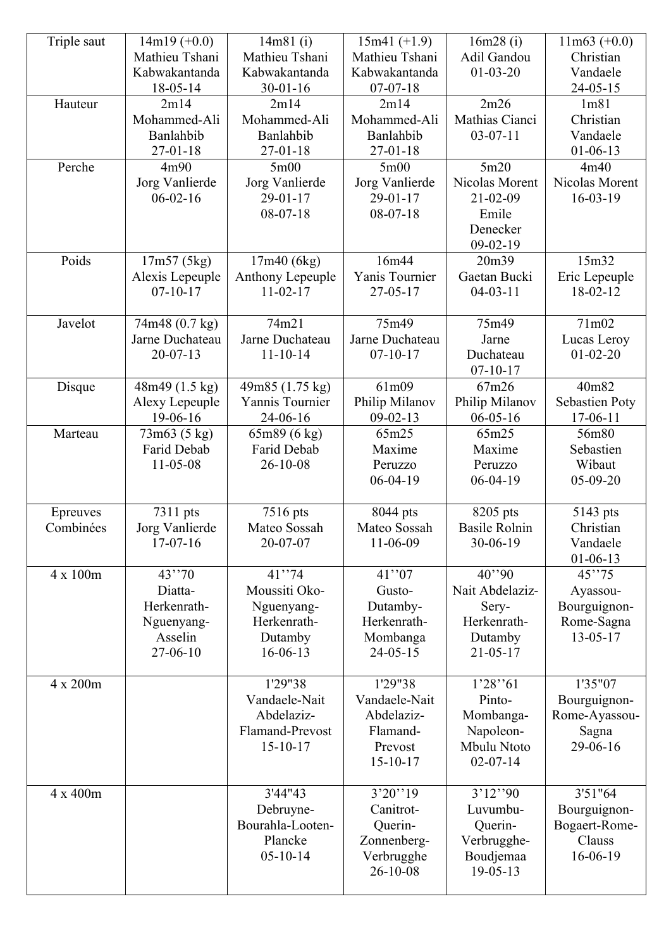| Triple saut           | $14m19 (+0.0)$<br>Mathieu Tshani<br>Kabwakantanda                     | 14m81(i)<br>Mathieu Tshani<br>Kabwakantanda                                 | $15m41 (+1.9)$<br>Mathieu Tshani<br>Kabwakantanda                               | 16m28(i)<br>Adil Gandou<br>$01 - 03 - 20$                                         | $11m63 (+0.0)$<br>Christian<br>Vandaele                        |
|-----------------------|-----------------------------------------------------------------------|-----------------------------------------------------------------------------|---------------------------------------------------------------------------------|-----------------------------------------------------------------------------------|----------------------------------------------------------------|
| Hauteur               | 18-05-14<br>2m14<br>Mohammed-Ali<br>Banlahbib                         | $30 - 01 - 16$<br>2m14<br>Mohammed-Ali<br>Banlahbib                         | $07 - 07 - 18$<br>2m14<br>Mohammed-Ali<br>Banlahbib                             | 2m26<br>Mathias Cianci<br>$03-07-11$                                              | $24 - 05 - 15$<br>1m81<br>Christian<br>Vandaele                |
| Perche                | $27 - 01 - 18$<br>4m90<br>Jorg Vanlierde<br>$06 - 02 - 16$            | $27 - 01 - 18$<br>5m00<br>Jorg Vanlierde<br>$29 - 01 - 17$<br>$08-07-18$    | $27 - 01 - 18$<br>5m00<br>Jorg Vanlierde<br>$29 - 01 - 17$<br>$08-07-18$        | 5m20<br>Nicolas Morent<br>$21 - 02 - 09$<br>Emile<br>Denecker<br>$09-02-19$       | $01 - 06 - 13$<br>4m40<br>Nicolas Morent<br>$16-03-19$         |
| Poids                 | 17m57 (5kg)<br>Alexis Lepeuple<br>$07-10-17$                          | 17m40 (6kg)<br>Anthony Lepeuple<br>$11 - 02 - 17$                           | 16m44<br>Yanis Tournier<br>$27 - 05 - 17$                                       | 20m39<br>Gaetan Bucki<br>$04 - 03 - 11$                                           | 15m32<br>Eric Lepeuple<br>18-02-12                             |
| Javelot               | 74m48 (0.7 kg)<br>Jarne Duchateau<br>$20 - 07 - 13$                   | 74m21<br>Jarne Duchateau<br>$11 - 10 - 14$                                  | 75m49<br>Jarne Duchateau<br>$07 - 10 - 17$                                      | 75m49<br>Jarne<br>Duchateau<br>$07 - 10 - 17$                                     | 71m02<br>Lucas Leroy<br>$01 - 02 - 20$                         |
| Disque                | 48m49 (1.5 kg)<br>Alexy Lepeuple<br>19-06-16                          | 49m85 (1.75 kg)<br>Yannis Tournier<br>$24 - 06 - 16$                        | 61m09<br>Philip Milanov<br>$09 - 02 - 13$                                       | 67m26<br>Philip Milanov<br>$06 - 05 - 16$                                         | 40m82<br><b>Sebastien Poty</b><br>$17-06-11$                   |
| Marteau               | 73m63(5kg)<br>Farid Debab<br>$11 - 05 - 08$                           | 65m89 (6 kg)<br>Farid Debab<br>$26 - 10 - 08$                               | 65m25<br>Maxime<br>Peruzzo<br>$06-04-19$                                        | 65m25<br>Maxime<br>Peruzzo<br>$06-04-19$                                          | 56m80<br>Sebastien<br>Wibaut<br>$05-09-20$                     |
| Epreuves<br>Combinées | 7311 pts<br>Jorg Vanlierde<br>$17-07-16$                              | 7516 pts<br>Mateo Sossah<br>20-07-07                                        | 8044 pts<br>Mateo Sossah<br>$11-06-09$                                          | 8205 pts<br><b>Basile Rolnin</b><br>30-06-19                                      | 5143 pts<br>Christian<br>Vandaele<br>$01 - 06 - 13$            |
| 4 x 100m              | 43''70<br>Diatta-<br>Herkenrath-<br>Nguenyang-<br>Asselin<br>27-06-10 | 41''74<br>Moussiti Oko-<br>Nguenyang-<br>Herkenrath-<br>Dutamby<br>16-06-13 | 41"07<br>Gusto-<br>Dutamby-<br>Herkenrath-<br>Mombanga<br>$24 - 05 - 15$        | $40^{99}$<br>Nait Abdelaziz-<br>Sery-<br>Herkenrath-<br>Dutamby<br>$21 - 05 - 17$ | 45''75<br>Ayassou-<br>Bourguignon-<br>Rome-Sagna<br>13-05-17   |
| 4 x 200m              |                                                                       | 1'29"38<br>Vandaele-Nait<br>Abdelaziz-<br>Flamand-Prevost<br>$15 - 10 - 17$ | 1'29"38<br>Vandaele-Nait<br>Abdelaziz-<br>Flamand-<br>Prevost<br>$15 - 10 - 17$ | 1'28''61<br>Pinto-<br>Mombanga-<br>Napoleon-<br>Mbulu Ntoto<br>$02 - 07 - 14$     | 1'35"07<br>Bourguignon-<br>Rome-Ayassou-<br>Sagna<br>29-06-16  |
| 4 x 400m              |                                                                       | 3'44"43<br>Debruyne-<br>Bourahla-Looten-<br>Plancke<br>$05 - 10 - 14$       | 3'20''19<br>Canitrot-<br>Querin-<br>Zonnenberg-<br>Verbrugghe<br>26-10-08       | 3'12''90<br>Luvumbu-<br>Querin-<br>Verbrugghe-<br>Boudjemaa<br>$19 - 05 - 13$     | 3'51"64<br>Bourguignon-<br>Bogaert-Rome-<br>Clauss<br>16-06-19 |